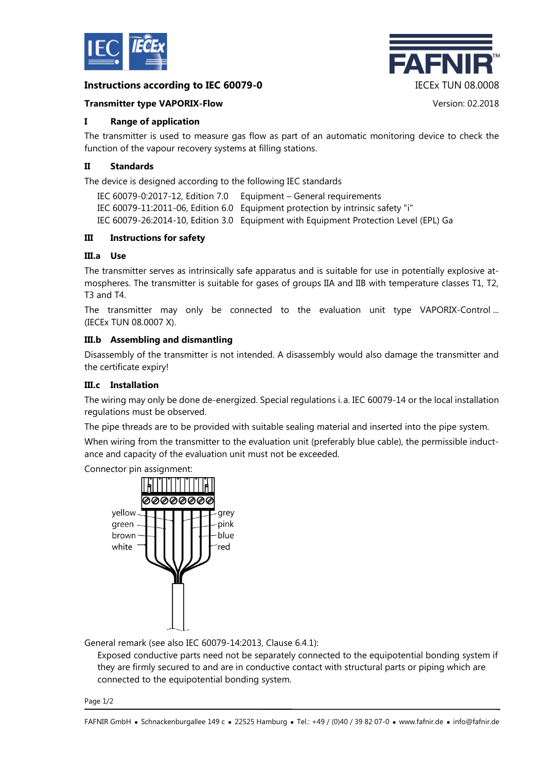

# **Instructions according to IEC 60079-0** IECEx TUN 08.0008



## **Transmitter type VAPORIX-Flow** Version: 02.2018

## **I Range of application**

The transmitter is used to measure gas flow as part of an automatic monitoring device to check the function of the vapour recovery systems at filling stations.

## **II Standards**

The device is designed according to the following IEC standards

IEC 60079-0:2017-12, Edition 7.0 Equipment – General requirements IEC 60079-11:2011-06, Edition 6.0 Equipment protection by intrinsic safety "i" IEC 60079-26:2014-10, Edition 3.0 Equipment with Equipment Protection Level (EPL) Ga

#### **III Instructions for safety**

# **III.a Use**

The transmitter serves as intrinsically safe apparatus and is suitable for use in potentially explosive atmospheres. The transmitter is suitable for gases of groups IIA and IIB with temperature classes T1, T2, T3 and T4.

The transmitter may only be connected to the evaluation unit type VAPORIX-Control ... (IECEx TUN 08.0007 X).

# **III.b Assembling and dismantling**

Disassembly of the transmitter is not intended. A disassembly would also damage the transmitter and the certificate expiry!

## **III.c Installation**

The wiring may only be done de-energized. Special regulations i. a. IEC 60079-14 or the local installation regulations must be observed.

The pipe threads are to be provided with suitable sealing material and inserted into the pipe system.

When wiring from the transmitter to the evaluation unit (preferably blue cable), the permissible inductance and capacity of the evaluation unit must not be exceeded.

Connector pin assignment:



General remark (see also IEC 60079-14:2013, Clause 6.4.1):

Exposed conductive parts need not be separately connected to the equipotential bonding system if they are firmly secured to and are in conductive contact with structural parts or piping which are connected to the equipotential bonding system.

Page 1/2